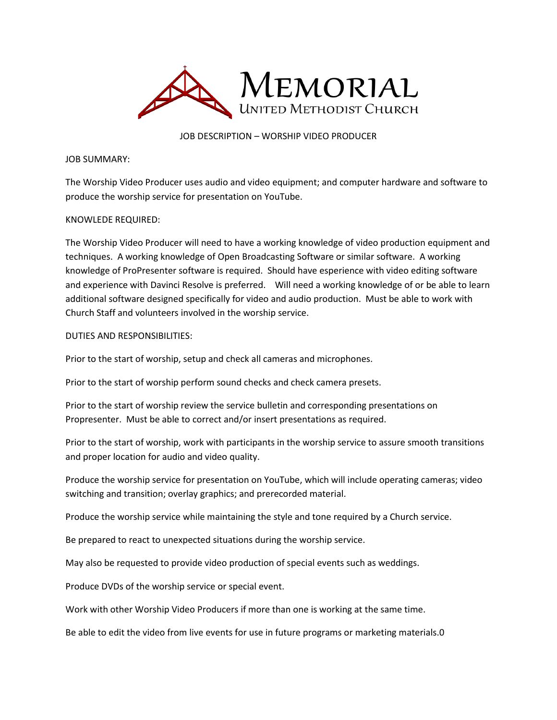

JOB DESCRIPTION – WORSHIP VIDEO PRODUCER

JOB SUMMARY:

The Worship Video Producer uses audio and video equipment; and computer hardware and software to produce the worship service for presentation on YouTube.

## KNOWLEDE REQUIRED:

The Worship Video Producer will need to have a working knowledge of video production equipment and techniques. A working knowledge of Open Broadcasting Software or similar software. A working knowledge of ProPresenter software is required. Should have esperience with video editing software and experience with Davinci Resolve is preferred. Will need a working knowledge of or be able to learn additional software designed specifically for video and audio production. Must be able to work with Church Staff and volunteers involved in the worship service.

## DUTIES AND RESPONSIBILITIES:

Prior to the start of worship, setup and check all cameras and microphones.

Prior to the start of worship perform sound checks and check camera presets.

Prior to the start of worship review the service bulletin and corresponding presentations on Propresenter. Must be able to correct and/or insert presentations as required.

Prior to the start of worship, work with participants in the worship service to assure smooth transitions and proper location for audio and video quality.

Produce the worship service for presentation on YouTube, which will include operating cameras; video switching and transition; overlay graphics; and prerecorded material.

Produce the worship service while maintaining the style and tone required by a Church service.

Be prepared to react to unexpected situations during the worship service.

May also be requested to provide video production of special events such as weddings.

Produce DVDs of the worship service or special event.

Work with other Worship Video Producers if more than one is working at the same time.

Be able to edit the video from live events for use in future programs or marketing materials.0